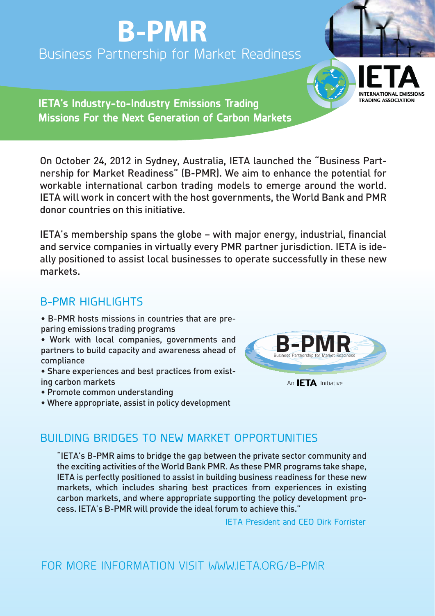# **B-PMR** Business Partnership for Market Readiness



**IETA's Industry-to-Industry Emissions Trading Missions For the Next Generation of Carbon Markets**

On October 24, 2012 in Sydney, Australia, IETA launched the "Business Partnership for Market Readiness" (B-PMR). We aim to enhance the potential for workable international carbon trading models to emerge around the world. IETA will work in concert with the host governments, the World Bank and PMR donor countries on this initiative.

IETA's membership spans the globe – with major energy, industrial, financial and service companies in virtually every PMR partner jurisdiction. IETA is ideally positioned to assist local businesses to operate successfully in these new markets.

## **B-PMR HIGHLIGHTS**

- B-PMR hosts missions in countries that are preparing emissions trading programs
- Work with local companies, governments and partners to build capacity and awareness ahead of compliance
- Share experiences and best practices from existing carbon markets
- Promote common understanding
- Where appropriate, assist in policy development



An **IETA** Initiative

# BUILDING BRIDGES TO NEW MARKET OPPORTUNITIES

"IETA's B-PMR aims to bridge the gap between the private sector community and the exciting activities of the World Bank PMR. As these PMR programs take shape, IETA is perfectly positioned to assist in building business readiness for these new markets, which includes sharing best practices from experiences in existing carbon markets, and where appropriate supporting the policy development process. IETA's B-PMR will provide the ideal forum to achieve this."

IETA President and CEO Dirk Forrister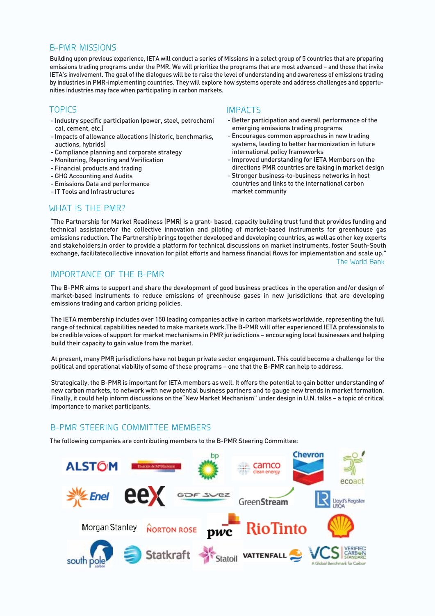#### B-PMR MISSIONS

Building upon previous experience, IETA will conduct a series of Missions in a select group of 5 countries that are preparing emissions trading programs under the PMR. We will prioritize the programs that are most advanced – and those that invite IETA's involvement. The goal of the dialogues will be to raise the level of understanding and awareness of emissions trading by industries in PMR-implementing countries. They will explore how systems operate and address challenges and opportunities industries may face when participating in carbon markets.

- Industry specific participation (power, steel, petrochemi cal, cement, etc.)
- Impacts of allowance allocations (historic, benchmarks, auctions, hybrids)
- Compliance planning and corporate strategy
- Monitoring, Reporting and Verification
- Financial products and trading
- GHG Accounting and Audits
- Emissions Data and performance
- IT Tools and Infrastructures

#### TOPICS IMPACTS

- Better participation and overall performance of the emerging emissions trading programs
- Encourages common approaches in new trading systems, leading to better harmonization in future international policy frameworks
- Improved understanding for IETA Members on the directions PMR countries are taking in market design
- Stronger business-to-business networks in host countries and links to the international carbon market community

#### WHAT IS THE PMR?

"The Partnership for Market Readiness (PMR) is a grant- based, capacity building trust fund that provides funding and technical assistancefor the collective innovation and piloting of market-based instruments for greenhouse gas emissions reduction. The Partnership brings together developed and developing countries, as well as other key experts and stakeholders,in order to provide a platform for technical discussions on market instruments, foster South-South exchange, facilitatecollective innovation for pilot efforts and harness financial flows for implementation and scale up." The World Bank

#### IMPORTANCE OF THE B-PMR

The B-PMR aims to support and share the development of good business practices in the operation and/or design of market-based instruments to reduce emissions of greenhouse gases in new jurisdictions that are developing emissions trading and carbon pricing policies.

The IETA membership includes over 150 leading companies active in carbon markets worldwide, representing the full range of technical capabilities needed to make markets work.The B-PMR will offer experienced IETA professionals to be credible voices of support for market mechanisms in PMR jurisdictions – encouraging local businesses and helping build their capacity to gain value from the market.

At present, many PMR jurisdictions have not begun private sector engagement. This could become a challenge for the political and operational viability of some of these programs – one that the B-PMR can help to address.

Strategically, the B-PMR is important for IETA members as well. It offers the potential to gain better understanding of new carbon markets, to network with new potential business partners and to gauge new trends in market formation. Finally, it could help inform discussions on the"New Market Mechanism" under design in U.N. talks – a topic of critical importance to market participants.

#### B-PMR STEERING COMMITTEE MEMBERS

The following companies are contributing members to the B-PMR Steering Committee:

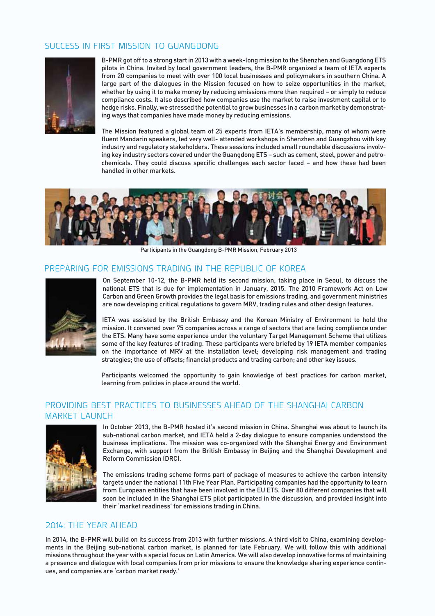### SUCCESS IN FIRST MISSION TO GUANGDONG



B-PMR got off to a strong start in 2013 with a week-long mission to the Shenzhen and Guangdong ETS pilots in China. Invited by local government leaders, the B-PMR organized a team of IETA experts from 20 companies to meet with over 100 local businesses and policymakers in southern China. A large part of the dialogues in the Mission focused on how to seize opportunities in the market, whether by using it to make money by reducing emissions more than required – or simply to reduce compliance costs. It also described how companies use the market to raise investment capital or to hedge risks. Finally, we stressed the potential to grow businesses in a carbon market by demonstrating ways that companies have made money by reducing emissions.

The Mission featured a global team of 25 experts from IETA's membership, many of whom were fluent Mandarin speakers, led very well- attended workshops in Shenzhen and Guangzhou with key industry and regulatory stakeholders. These sessions included small roundtable discussions involving key industry sectors covered under the Guangdong ETS – such as cement, steel, power and petrochemicals. They could discuss specific challenges each sector faced – and how these had been handled in other markets.



Participants in the Guangdong B-PMR Mission, February 2013

#### PREPARING FOR EMISSIONS TRADING IN THE REPUBLIC OF KOREA



On September 10-12, the B-PMR held its second mission, taking place in Seoul, to discuss the national ETS that is due for implementation in January, 2015. The 2010 Framework Act on Low Carbon and Green Growth provides the legal basis for emissions trading, and government ministries are now developing critical regulations to govern MRV, trading rules and other design features.

IETA was assisted by the British Embassy and the Korean Ministry of Environment to hold the mission. It convened over 75 companies across a range of sectors that are facing compliance under the ETS. Many have some experience under the voluntary Target Management Scheme that utilizes some of the key features of trading. These participants were briefed by 19 IETA member companies on the importance of MRV at the installation level; developing risk management and trading strategies; the use of offsets; financial products and trading carbon; and other key issues.

Participants welcomed the opportunity to gain knowledge of best practices for carbon market, learning from policies in place around the world.

#### PROVIDING BEST PRACTICES TO BUSINESSES AHEAD OF THE SHANGHAI CARBON MARKET LAUNCH



In October 2013, the B-PMR hosted it's second mission in China. Shanghai was about to launch its sub-national carbon market, and IETA held a 2-day dialogue to ensure companies understood the business implications. The mission was co-organized with the Shanghai Energy and Environment Exchange, with support from the British Embassy in Beijing and the Shanghai Development and Reform Commission (DRC).

The emissions trading scheme forms part of package of measures to achieve the carbon intensity targets under the national 11th Five Year Plan. Participating companies had the opportunity to learn from European entities that have been involved in the EU ETS. Over 80 different companies that will soon be included in the Shanghai ETS pilot participated in the discussion, and provided insight into their 'market readiness' for emissions trading in China.

#### 2014: THE YEAR AHEAD

In 2014, the B-PMR will build on its success from 2013 with further missions. A third visit to China, examining developments in the Beijing sub-national carbon market, is planned for late February. We will follow this with additional missions throughout the year with a special focus on Latin America. We will also develop innovative forms of maintaining a presence and dialogue with local companies from prior missions to ensure the knowledge sharing experience continues, and companies are 'carbon market ready.'